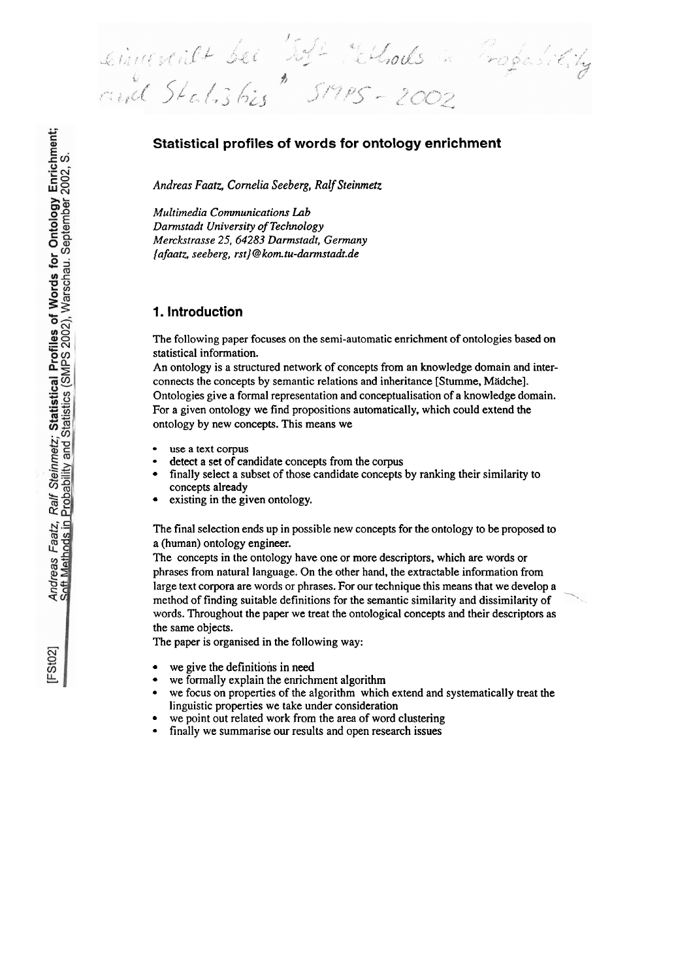einvestilt bei Jost rethods ropasiting

# **Statistical profiles of words for ontology enrichment**

*Andreas Faatz, Cornelia Seeberg, Ralf Steinmetz* 

*Multimedia Communications Lab Darmstadt University of Technology Merckstrasse 25,64283 Darmtadt, Gennany {afaatz, seeberg, rst}* @ *kom. tu-dannstadt.de* 

### **1. lntroduction**

The following paper focuses on the semi-automatic enrichment of ontologies based on statistical information.

An ontology is a structured network of concepts from an knowledge domain and interconnects the concepts by semantic relations and inheritance [Stumme, Mädche]. Ontologies give a formal representation and conceptualisation of a knowledge domain. For a given ontology we find propositions automatically, which could extend the ontology by new concepts. This means we

- use a text corpus
- detect a set of candidate concepts from the corpus
- finally select a subset of those candidate concepts by ranking their similarity to concepts already
- existing in the given ontology.

The final selection ends up in possible new concepts for the ontology to be proposed **to**  a (human) ontology engineer.

The concepts in the ontology have one or more descriptors, which are words or phrases from natural language. On the other hand, the extractable information from large text corpora are words or phrases. For our technique this means that we develop a method of finding suitable definitions for the semantic similarity and dissimilarity of words. Throughout the paper we treat the ontological concepts and their descriptors as the same objects.

The paper is organised in the following way:

- we give the definitions in need
- we formally explain the enrichment algorithm
- we focus on properties of the algorithm which extend and systematically treat the  $\bullet$ linguistic properties we take under consideration
- we point out related work from the area of word clustering
- $\bullet$ finally we sumrnarise **our** results and Open research issues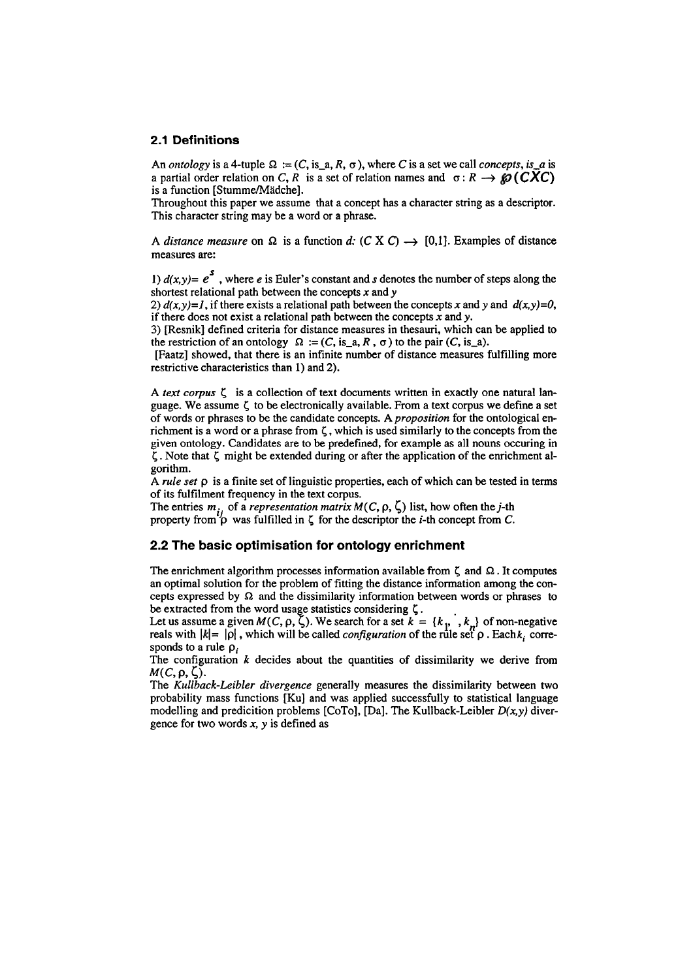#### **2.1 Definitions**

An *ontology* is a 4-tuple  $\Omega := (C, \text{is}_a, R, \sigma)$ , where C is a set we call *concepts*, is a is a partial order relation on *C*, *R* is a set of relation names and  $\sigma : R \rightarrow \mathcal{O}(CXC)$  is a function [Stumme/Mädche].

Throughout this paper we assume that a concept has a character string as a descriptor. This character string may be a word or a phrase.

A *distance measure* on  $\Omega$  is a function *d:*  $(C \times C) \rightarrow [0,1]$ . Examples of distance measures are:

1)  $d(x,y) = e^5$ , where *e* is Euler's constant and *s* denotes the number of steps along the shortest relational path between the concepts *x* and *y* 

2)  $d(x,y)=1$ , if there exists a relational path between the concepts x and y and  $d(x,y)=0$ , if there does not exist a relational path-between the concepts *X* and *y.* 

3) [Resnik] defined criteria for distance measures in thesauri, which can **be** applied to the restriction of an ontology  $\Omega := (C, \text{ is }_{-a}, R, \sigma)$  to the pair  $(C, \text{ is }_{-a})$ .

[Faatz] showed, that there is an infinite number of distance measures fulfilling more restrictive characteristics than 1) and 2).

*A text corpus 6* is a collection of text documents written in exactly one natural language. We assume **5** to be electronically available. From a text corpus we define a Set of words or phrases to be the candidate concepts. A *proposition* for the ontological enrichment is a word or a phrase from *6,* which is used similarly to the concepts from the given ontology. Candidates are to be predefined, for example as all nouns occuring in *6.* Note that *6* might be extended during or after the application of the enrichment algorithm.

A *rule set*  $\rho$  is a finite set of linguistic properties, each of which can be tested in terms of its fulfilment frequency in the text corpus.

The entries  $m_i$ , of a *representation matrix M(C, p,*  $\zeta$ *)* list, how often the j-th property from  $\beta$  was fulfilled in  $\zeta$  for the descriptor the *i*-th concept from *C*.

#### 2.2 **The basic optimisation for ontology enrichment**

The enrichment algorithm processes information available from  $\zeta$  and  $\Omega$ . It computes an optimal solution for the problem of fitting the distance information among the concepts expressed by  $\Omega$  and the dissimilarity information between words or phrases to **be** extracted from the word usage statistics considering **5.** 

Let us assume a given  $M(C, \rho, \zeta)$ . We search for a set  $k = \{k_1, k_2\}$  of non-negative<br>reals with  $|k| = |\rho|$ , which will be called *configuration* of the rule set  $\rho$ . Each  $k_i$  corresponds to a rule  $\rho_i$ 

The configuration *k* decides about the quantities of dissimilarity we derive from  $M(C, \rho, \zeta).$ 

The *Kullback-Leibler divergence* generally measures the dissimilarity between two probability mass functions [Ku] and was applied successfully to statistical language modelling and predicition problems [CoTo], [Da]. The Kullback-Leibler *D(x.y)* divergence for two words **X,** *y* is defined as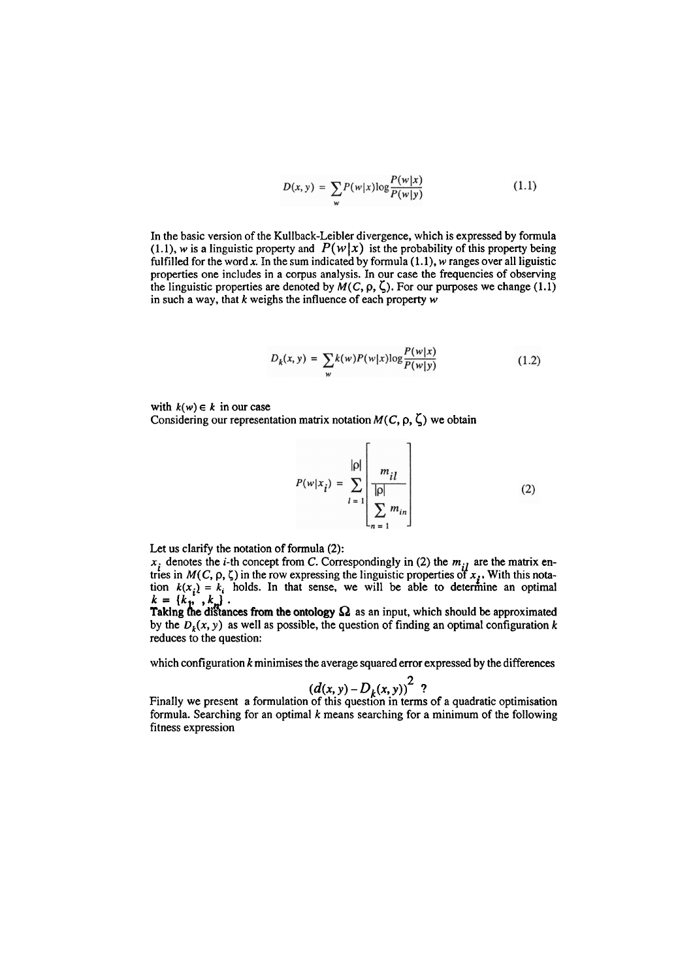$$
D(x, y) = \sum_{w} P(w|x) \log \frac{P(w|x)}{P(w|y)}
$$
(1.1)

In the basic version of the Kullback-Leibler divergence, which is expressed by formula (1.1), w is a linguistic property and  $P(w|x)$  ist the probability of this property being fulfilled for the word  $x$ . In the sum indicated by formula  $(1.1)$ ,  $w$  ranges over all liguistic properties one includes in a Corpus analysis. In our case the frequencies of observing the linguistic properties are denoted by  $M(C, \rho, \zeta)$ . For our purposes we change (1.1) in such a way, that  $k$  weighs the influence of each property  $w$ 

$$
D_k(x, y) = \sum_{w} k(w) P(w|x) \log \frac{P(w|x)}{P(w|y)}
$$
(1.2)

with  $k(w) \in k$  in our case

Considering our representation matrix notation  $M(C, \rho, \zeta)$  we obtain

$$
P(w|x_i) = \sum_{l=1}^{|p|} \frac{m_{il}}{\left|\frac{m_l}{p}\right|} \tag{2}
$$

Let us clarify the notation of formula *(2):* 

 $x_i$  denotes the *i*-th concept from *C*. Correspondingly in (2) the  $m_{i}$  are the matrix entries in  $M(C, \rho, \zeta)$  in the row expressing the linguistic properties of  $x_i$ . With this nota-<br>tion  $k(x_i) = k_i$  holds. In that sense, we will be able to determine an optimal  $k = {k_1, k_2}$ .<br>Taking the distances from the ontology  $\Omega$  as an input, which should be approximated

by the  $D_k(x, y)$  as well as possible, the question of finding an optimal configuration k reduces to the question:

which configuration  $k$  minimises the average squared error expressed by the differences

$$
(d(x, y) - D_k(x, y))^2
$$
?

 $(d(x, y) - D_k(x, y))^2$  ?<br>Finally we present a formulation of this question in terms of a quadratic optimisation formula. Searching for an optimal  $k$  means searching for a minimum of the following fitness expression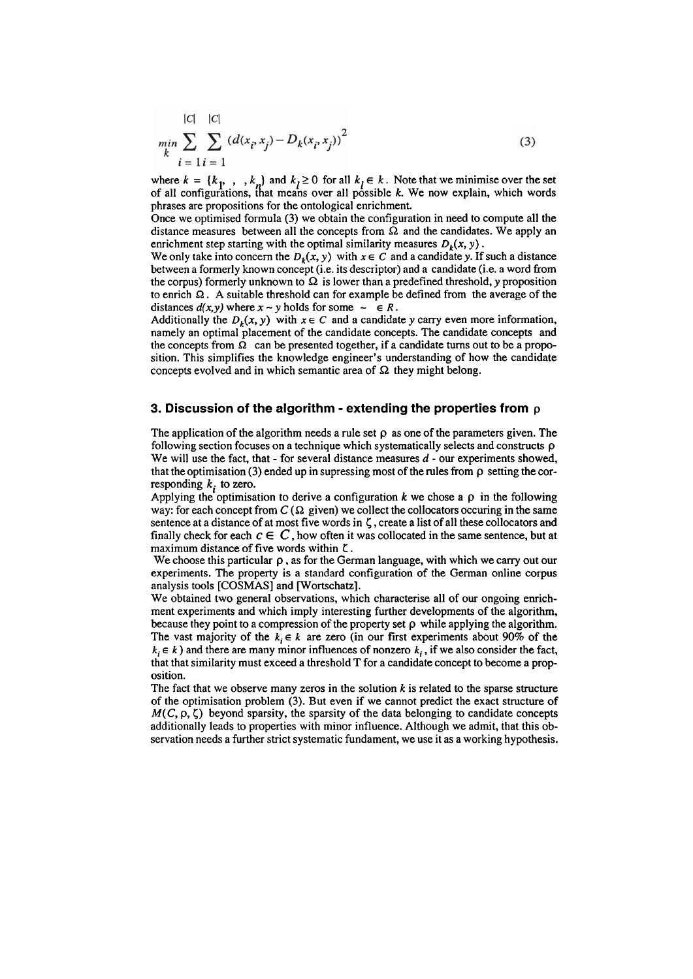$$
\min_{k} \sum_{i=1}^{|C|} \sum_{i=1}^{|C|} (d(x_i, x_j) - D_k(x_i, x_j))^2
$$
\n(3)

where  $k = \{k_p, \ldots, k_p\}$  and  $k_l \ge 0$  for all  $k_l \in k$ . Note that we minimise over the set of all configurations, that means over all possible k. We now explain, which words phrases are propositions for the ontological enrichment.

Once we optimised formula (3) we obtain the configuration in need to compute all the distance measures between all the concepts from  $\Omega$  and the candidates. We apply an enrichment step starting with the optimal similarity measures  $D_{\nu}(x, y)$ .

We only take into concern the  $D_k(x, y)$  with  $x \in C$  and a candidate y. If such a distance between a formerly known concept (i.e. its descriptor) and a candidate (i.e. a word fiom the corpus) formerly unknown to  $\Omega$  is lower than a predefined threshold, y proposition to enrich  $\Omega$ . A suitable threshold can for example be defined from the average of the distances  $d(x, y)$  where  $x \sim y$  holds for some  $\sim \in R$ .

Additionally the  $D_k(x, y)$  with  $x \in C$  and a candidate y carry even more information, namely an optimal placement of the candidate concepts. The candidate concepts and the concepts from  $\Omega$  can be presented together, if a candidate turns out to be a proposition. This simplifies the knowledge engineer's understanding of how the candidate concepts evolved and in which semantic area of  $\Omega$  they might belong.

#### 3. **Discussion of the algorithm** - **extending the properties from p**

The application of the algorithm needs a rule set  $\rho$  as one of the parameters given. The following section focuses on a technique which systematically selects and constructs  $\rho$ We will use the fact, that - for several distance measures  $d$  - our experiments showed, that the optimisation  $(3)$  ended up in supressing most of the rules from  $\rho$  setting the corresponding  $k_i$  to zero.

Applying the optimisation to derive a configuration  $k$  we chose a  $\rho$  in the following way: for each concept from  $C(\Omega)$  given) we collect the collocators occuring in the same sentence at a distance of at most five words in  $\zeta$ , create a list of all these collocators and finally check for each  $c \in C$ , how often it was collocated in the same sentence, but at maximum distance of five words within C.

We choose this particular  $\rho$ , as for the German language, with which we carry out our experiments. The property is a standard configuration of the German online corpus analysis tools [COSMAS] and Wortschatz].

We obtained two general observations, which characterise all of our ongoing enrichment experiments and which imply interesting further developments of the algorithm, because they point to a compression of the property set  $\rho$  while applying the algorithm. The vast majority of the  $k_i \in k$  are zero (in our first experiments about 90% of the  $k \in k$ ) and there are many minor influences of nonzero  $k_i$ , if we also consider the fact, that that similarity must exceed a threshold T for a candidate concept to become a proposition.

The fact that we observe many zeros in the solution  $k$  is related to the sparse structure of the optimisation problem (3). But even if we cannot predict the exact structure of  $M(C, \rho, \zeta)$  beyond sparsity, the sparsity of the data belonging to candidate concepts additionally leads to properties with minor influence. Although we admit, that this observation needs a further strict systematic fundament, we use it as a working hypothesis.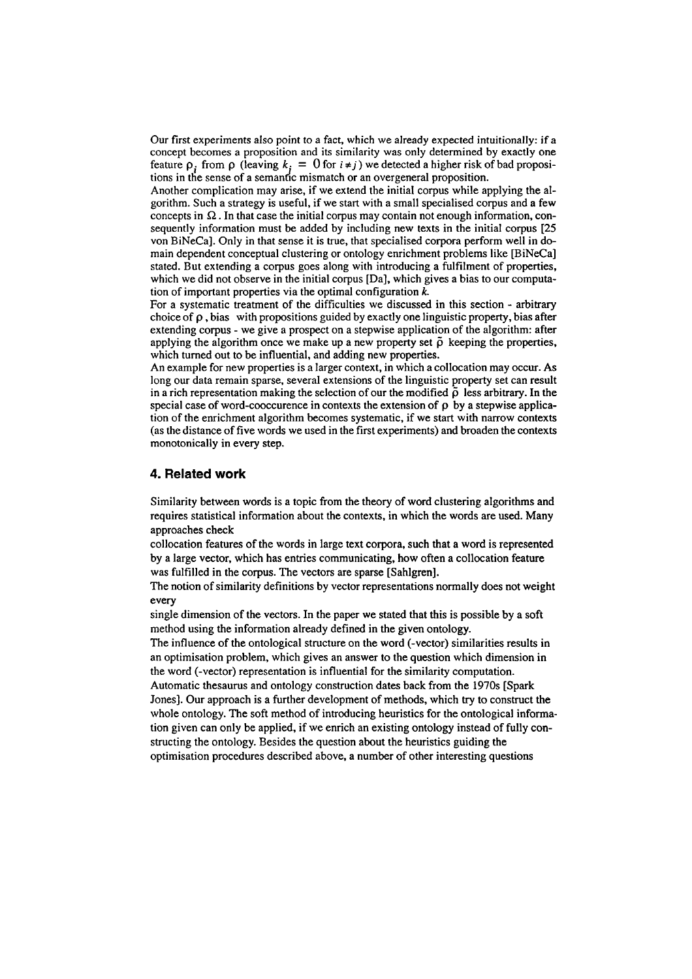Our first experiments also point to a fact, which we already expected intuitionally: if a concept becomes a proposition and its similarity was only determined by exactly one feature  $\rho_i$  from  $\rho$  (leaving  $k_i = 0$  for  $i \neq j$ ) we detected a higher risk of bad propositions in the sense of a semandc mismatch or an overgeneral proposition.

Another complication may arise, if we extend the initial corpus while applying the algorithm. Such a strategy is useful, if we start with a small specialised corpus and a few concepts in  $\Omega$ . In that case the initial corpus may contain not enough information, consequently information must be added by including new texts in the initial corpus [25 von BiNeCa]. Only in that sense it is true, that specialised corpora perform well in domain dependent conceptual clustering or ontology enrichment problems like [BiNeCa] stated. But extending a corpus goes along with introducing a fulfilment of properties, which we did not observe in the initial corpus [Da], which gives a bias to our computation of important properties via the optimal configuration **k** 

For a systematic treatment of the difficulties we discussed in this section - arbitrary choice of  $\rho$ , bias with propositions guided by exactly one linguistic property, bias after extending corpus - we give a prospect on a stepwise application of the algorithm: after applying the algorithm once we make up a new property set  $\tilde{\rho}$  keeping the properties, which tumed out to be influential, and adding new properties.

An example for new properties is a larger context, in which a collocation may occur. As long our data remain sparse, several extensions of the linguistic property set can result in a rich representation making the selection of our the modified  $\tilde{\rho}$  less arbitrary. In the special case of word-cooccurence in contexts the extension of  $\rho$  by a stepwise application of the enrichment algorithm becomes systematic, if we start with narrow contexts (as the distance of five words we used in the first experiments) and broaden the contexts monotonically in every step.

### **4. Related work**

Similarity between words is a topic from the theory of word clustering algorithms and requires statistical information about the contexts, in which the words are used. Many approaches check

collocation features of the words in large text corpora, such that a word is represented by a large vector, which has entries communicating, how often a collocation feature was fulfilled in the corpus. The vectors are sparse [Sahlgren].

The notion of similarity definitions by vector representations normally does not weight every

single dimension of the vectors. In the paper we stated that this is possible by a soft method using the information already defined in the given ontology.

The influence of the ontological structure on the word (-vector) similarities results in an optimisation problem, which gives an answer to the question which dimension in the word (-vector) representation is influential for the similarity computation.

Autornatic thesaurus and ontology construction dates back from the 1970s [Spark Jones]. Our approach is a further development of methods, which **try** to construct the whole ontology. The soft method of introducing heuristics for the ontological information given can only be applied, if we enrich an existing ontology instead of fully constructing the ontology. Besides the question about the heuristics guiding the optimisation procedures described above, a number of other interesting questions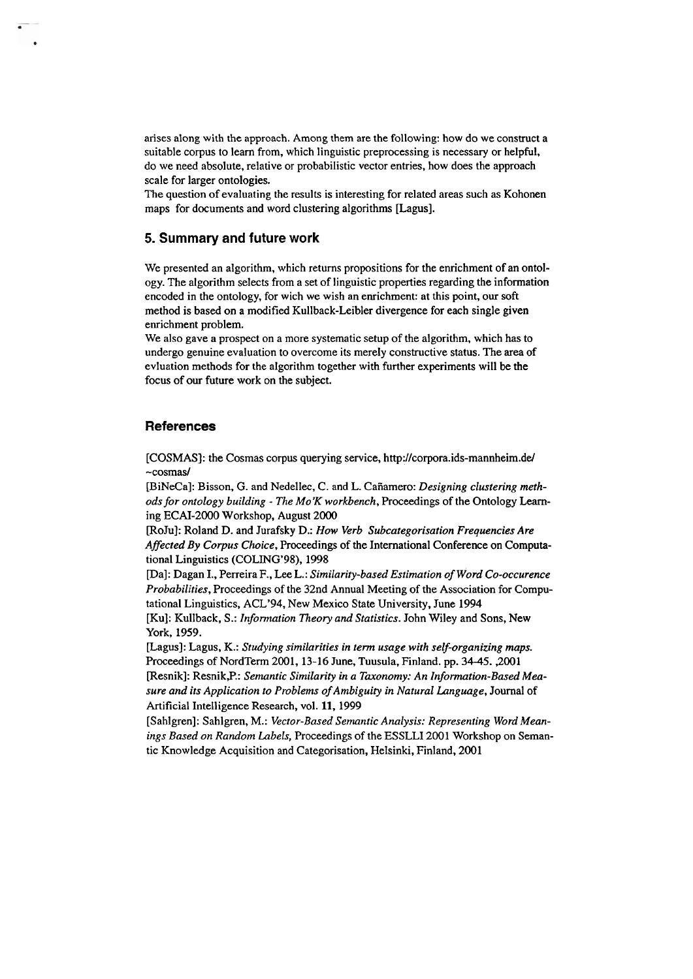arises along with the approach. Among them are the following: how do we construct a suitable corpus to learn from, which linguistic preprocessing is necessary or helpful, do we need absolute, relative or probabilistic vector entries, how does the approach scale for larger ontologies.

The question of evaluating the results is interesting for related areas such as Kohonen maps for documents and word clustering algorithms [Lagus].

## **5. Summary and future work**

We presented an algorithm, which retums propositions for the enrichment of an ontology. The algorithm selects from a set of linguistic properties regarding the information encoded in the ontology, for wich we wish an enrichment: at this point, our soft method is based on a modified Kullback-Leibler divergence for each single given emichment problem.

We also gave a prospect on a more systematic setup of the algorithm, which has to undergo genuine evaluation to overcome its merely constructive Status. The area of evluation methods for the algorithm together with further experiments will **be** the focus of our future work on the subject.

### **References**

[COSMAS]: the Cosmas corpus querying service, **http://corpora.ids-mannheim.del**  ~cosmas/

[BiNeCa]: Bisson, G. and Nedellec, C. and L. Canamero: *Designing clustering methods for ontology building* - *The Mo'K workbench,* Proceedings of the Ontology **Lern**ing ECAI-2000 Workshop, August 2000

[RoJu]: Roland D. and Jurafsky D.: *How Verb Subcategorisation Frequencies Are Affected By Corpus Choice,* Proceedings of the International Conference on Computational Linguistics (COLING'98), 1998

[Da]: Dagan I., Perreira F., Lee L.: *Similarity-based Estimation of Word Co-occurence Probabilities,* Proceedings of the 32nd Annual Meeting of the Association for Computational Linguistics, ACL'94, New Mexico State University, June 1994

[Ku]: Kullback, S.: *Information Theory und Statistics.* John Wiley and Sons, New York, 1959.

[Lagus]: Lagus, K.: *Studying similarities in term usage with self-organizing maps.*  Proceedings of NordTerm 2001,13-16 June, Tuusula, Finland. pp. 34-45. ,2001 [Resnik]: Resnik, P.: Semantic Similarity in a Taxonomy: An Information-Based Mea*sure und its Application to Problems of Ambiguity in Natural Language,* Journal of Artificial Intelligence Research, vol. 11, 1999

[Sahlgren]: Sahlgren, M.: *Vector-Based Semantic Analysis: Representing Word Meanings Based on Random Labels,* Proceedings of the ESSLLI 2001 Workshop on Semantic Knowledge Acquisition and Categorisation, Helsinki, Finland, 2001